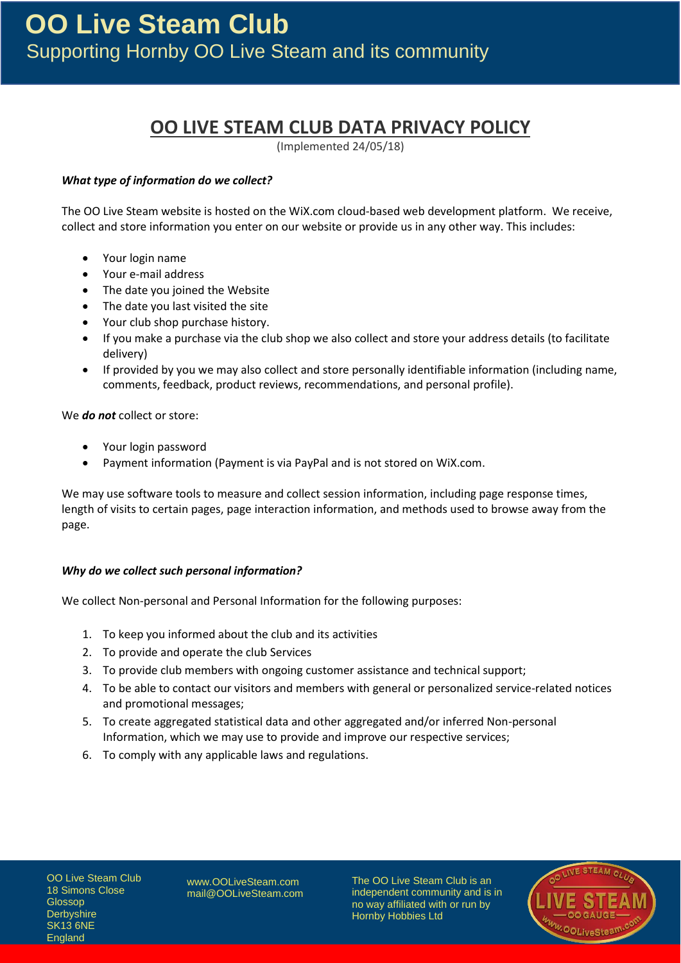# **OO LIVE STEAM CLUB DATA PRIVACY POLICY**

(Implemented 24/05/18)

# *What type of information do we collect?*

The OO Live Steam website is hosted on the WiX.com cloud-based web development platform. We receive, collect and store information you enter on our website or provide us in any other way. This includes:

- Your login name
- Your e-mail address
- The date you joined the Website
- The date you last visited the site
- Your club shop purchase history.
- If you make a purchase via the club shop we also collect and store your address details (to facilitate delivery)
- If provided by you we may also collect and store personally identifiable information (including name, comments, feedback, product reviews, recommendations, and personal profile).

We *do not* collect or store:

- Your login password
- Payment information (Payment is via PayPal and is not stored on WiX.com.

We may use software tools to measure and collect session information, including page response times, length of visits to certain pages, page interaction information, and methods used to browse away from the page.

## *Why do we collect such personal information?*

We collect Non-personal and Personal Information for the following purposes:

- 1. To keep you informed about the club and its activities
- 2. To provide and operate the club Services
- 3. To provide club members with ongoing customer assistance and technical support;
- 4. To be able to contact our visitors and members with general or personalized service-related notices and promotional messages;
- 5. To create aggregated statistical data and other aggregated and/or inferred Non-personal Information, which we may use to provide and improve our respective services;
- 6. To comply with any applicable laws and regulations.

OO Live Steam Club 18 Simons Close Glossop **Derbyshire** SK13 6NE England

[www.OOLiveSteam.com](http://www.oolivesteam.com/) [mail@OOLiveSteam.com](mailto:mail@oolivesteam.com) The OO Live Steam Club is an independent community and is in no way affiliated with or run by Hornby Hobbies Ltd

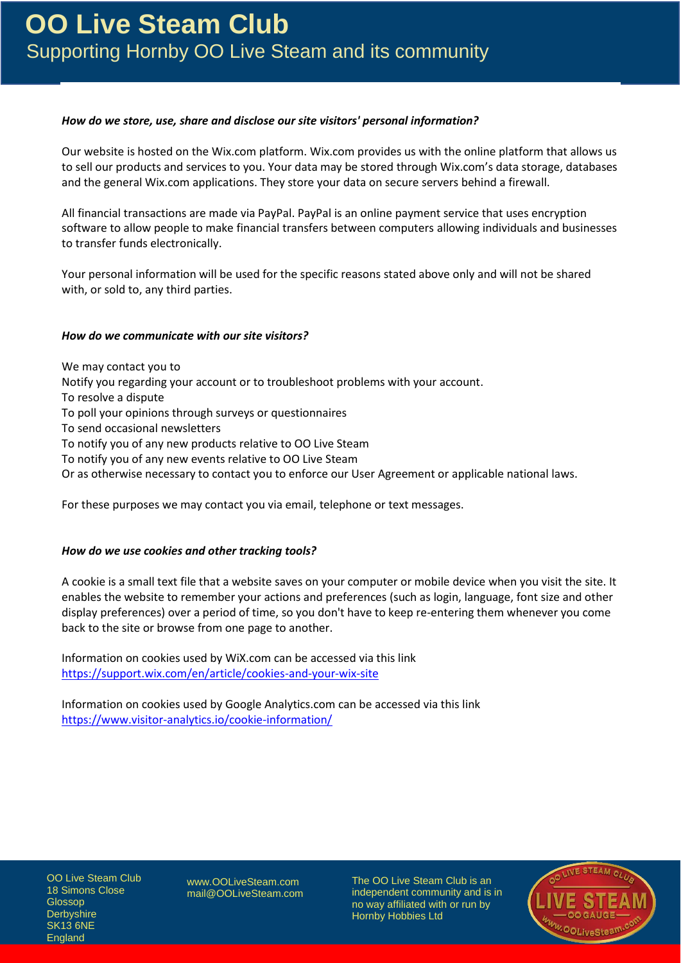## *How do we store, use, share and disclose our site visitors' personal information?*

Our website is hosted on the Wix.com platform. Wix.com provides us with the online platform that allows us to sell our products and services to you. Your data may be stored through Wix.com's data storage, databases and the general Wix.com applications. They store your data on secure servers behind a firewall.

All financial transactions are made via PayPal. PayPal is an online payment service that uses encryption software to allow people to make financial transfers between computers allowing individuals and businesses to transfer funds electronically.

Your personal information will be used for the specific reasons stated above only and will not be shared with, or sold to, any third parties.

## *How do we communicate with our site visitors?*

We may contact you to Notify you regarding your account or to troubleshoot problems with your account. To resolve a dispute To poll your opinions through surveys or questionnaires To send occasional newsletters To notify you of any new products relative to OO Live Steam To notify you of any new events relative to OO Live Steam Or as otherwise necessary to contact you to enforce our User Agreement or applicable national laws.

For these purposes we may contact you via email, telephone or text messages.

## *How do we use cookies and other tracking tools?*

A cookie is a small text file that a website saves on your computer or mobile device when you visit the site. It enables the website to remember your actions and preferences (such as login, language, font size and other display preferences) over a period of time, so you don't have to keep re-entering them whenever you come back to the site or browse from one page to another.

Information on cookies used by WiX.com can be accessed via this link <https://support.wix.com/en/article/cookies-and-your-wix-site>

Information on cookies used by Google Analytics.com can be accessed via this link <https://www.visitor-analytics.io/cookie-information/>

OO Live Steam Club 18 Simons Close Glossop **Derbyshire** SK13 6NE England

[www.OOLiveSteam.com](http://www.oolivesteam.com/) [mail@OOLiveSteam.com](mailto:mail@oolivesteam.com) The OO Live Steam Club is an independent community and is in no way affiliated with or run by Hornby Hobbies Ltd